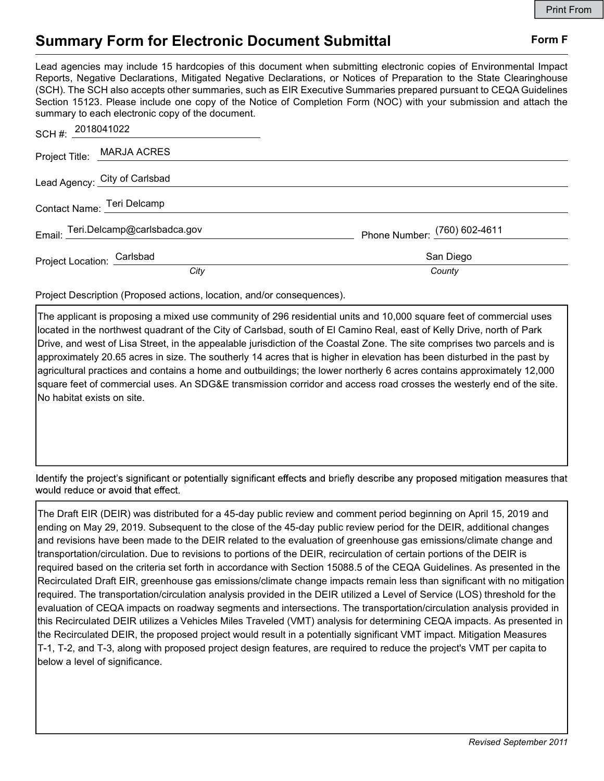## Summary Form for Electronic Document Submittal Form F

Lead agencies may include 15 hardcopies of this document when submitting electronic copies of Environmental Impact Reports, Negative Declarations, Mitigated Negative Declarations, or Notices of Preparation to the State Clearinghouse (SCH). The SCH also accepts other summaries, such as EIR Executive Summaries prepared pursuant to CEQA Guidelines Section 15123. Please include one copy of the Notice of Completion Form (NOC) with your submission and attach the summary to each electronic copy of the document.

| SCH #: 2018041022                  |                              |
|------------------------------------|------------------------------|
| Project Title: MARJA ACRES         |                              |
| Lead Agency: City of Carlsbad      |                              |
| Contact Name: Teri Delcamp         |                              |
| Email: Teri.Delcamp@carlsbadca.gov | Phone Number: (760) 602-4611 |
| Project Location: Carlsbad         | San Diego                    |
| City                               | County                       |

Project Description (Proposed actions, location, and/or consequences).

The applicant is proposing a mixed use community of 296 residential units and 10,000 square feet of commercial uses located in the northwest quadrant of the City of Carlsbad, south of El Camino Real, east of Kelly Drive, north of Park Drive, and west of Lisa Street, in the appealable jurisdiction of the Coastal Zone. The site comprises two parcels and is approximately 20.65 acres in size. The southerly 14 acres that is higher in elevation has been disturbed in the past by agricultural practices and contains a home and outbuildings; the lower northerly 6 acres contains approximately 12,000 square feet of commercial uses. An SDG&E transmission corridor and access road crosses the westerly end of the site. No habitat exists on site.

Identify the project's significant or potentially significant effects and briefly describe any proposed mitigation measures that would reduce or avoid that effect.

The Draft EIR (DEIR) was distributed for a 45-day public review and comment period beginning on April 15, 2019 and ending on May 29, 2019. Subsequent to the close of the 45-day public review period for the DEIR, additional changes and revisions have been made to the DEIR related to the evaluation of greenhouse gas emissions/climate change and transportation/circulation. Due to revisions to portions of the DEIR, recirculation of certain portions of the DEIR is required based on the criteria set forth in accordance with Section 15088.5 of the CEQA Guidelines. As presented in the Recirculated Draft EIR, greenhouse gas emissions/climate change impacts remain less than significant with no mitigation required. The transportation/circulation analysis provided in the DEIR utilized a Level of Service (LOS) threshold for the evaluation of CEQA impacts on roadway segments and intersections. The transportation/circulation analysis provided in this Recirculated DEIR utilizes a Vehicles Miles Traveled (VMT) analysis for determining CEQA impacts. As presented in the Recirculated DEIR, the proposed project would result in a potentially significant VMT impact. Mitigation Measures T-1, T-2, and T-3, along with proposed project design features, are required to reduce the project's VMT per capita to below a level of significance.